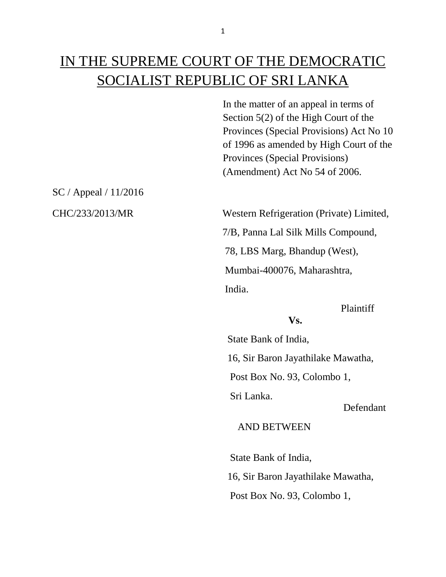# IN THE SUPREME COURT OF THE DEMOCRATIC SOCIALIST REPUBLIC OF SRI LANKA

In the matter of an appeal in terms of Section 5(2) of the High Court of the Provinces (Special Provisions) Act No 10 of 1996 as amended by High Court of the Provinces (Special Provisions) (Amendment) Act No 54 of 2006.

SC / Appeal / 11/2016

CHC/233/2013/MR Western Refrigeration (Private) Limited,

 7/B, Panna Lal Silk Mills Compound, 78, LBS Marg, Bhandup (West), Mumbai-400076, Maharashtra,

India.

Plaintiff

## **Vs.**

 State Bank of India, 16, Sir Baron Jayathilake Mawatha,

Post Box No. 93, Colombo 1,

Sri Lanka.

Defendant

#### AND BETWEEN

State Bank of India,

16, Sir Baron Jayathilake Mawatha,

Post Box No. 93, Colombo 1,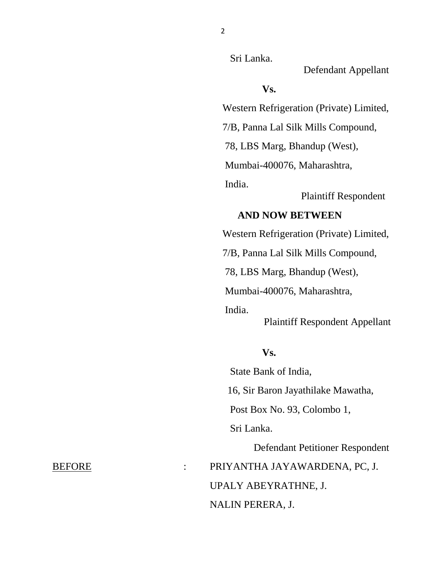Sri Lanka.

Defendant Appellant

#### **Vs.**

Western Refrigeration (Private) Limited,

7/B, Panna Lal Silk Mills Compound,

78, LBS Marg, Bhandup (West),

Mumbai-400076, Maharashtra,

India.

Plaintiff Respondent

### **AND NOW BETWEEN**

Western Refrigeration (Private) Limited,

7/B, Panna Lal Silk Mills Compound,

78, LBS Marg, Bhandup (West),

Mumbai-400076, Maharashtra,

 India. Plaintiff Respondent Appellant

#### **Vs.**

 State Bank of India, 16, Sir Baron Jayathilake Mawatha, Post Box No. 93, Colombo 1, Sri Lanka. Defendant Petitioner Respondent BEFORE : PRIYANTHA JAYAWARDENA, PC, J. UPALY ABEYRATHNE, J.

#### NALIN PERERA, J.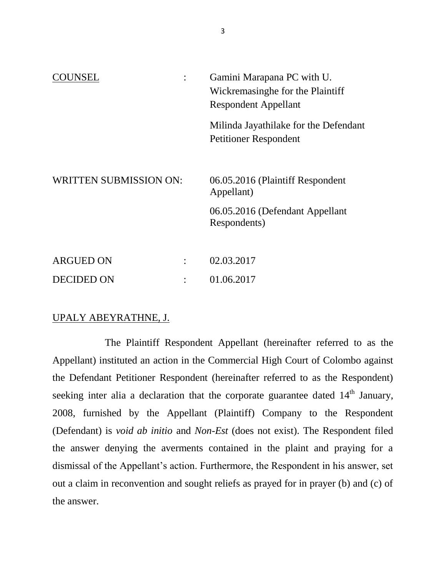| <b>NINSEL</b>                 |  | Gamini Marapana PC with U.                      |
|-------------------------------|--|-------------------------------------------------|
|                               |  | Wickremasinghe for the Plaintiff                |
|                               |  | <b>Respondent Appellant</b>                     |
|                               |  | Milinda Jayathilake for the Defendant           |
|                               |  | <b>Petitioner Respondent</b>                    |
|                               |  |                                                 |
| <b>WRITTEN SUBMISSION ON:</b> |  | 06.05.2016 (Plaintiff Respondent<br>Appellant)  |
|                               |  | 06.05.2016 (Defendant Appellant<br>Respondents) |
|                               |  |                                                 |
| <b>ARGUED ON</b>              |  | 02.03.2017                                      |
| <b>DECIDED ON</b>             |  | 01.06.2017                                      |

#### UPALY ABEYRATHNE, J.

The Plaintiff Respondent Appellant (hereinafter referred to as the Appellant) instituted an action in the Commercial High Court of Colombo against the Defendant Petitioner Respondent (hereinafter referred to as the Respondent) seeking inter alia a declaration that the corporate guarantee dated  $14<sup>th</sup>$  January, 2008, furnished by the Appellant (Plaintiff) Company to the Respondent (Defendant) is *void ab initio* and *Non-Est* (does not exist). The Respondent filed the answer denying the averments contained in the plaint and praying for a dismissal of the Appellant's action. Furthermore, the Respondent in his answer, set out a claim in reconvention and sought reliefs as prayed for in prayer (b) and (c) of the answer.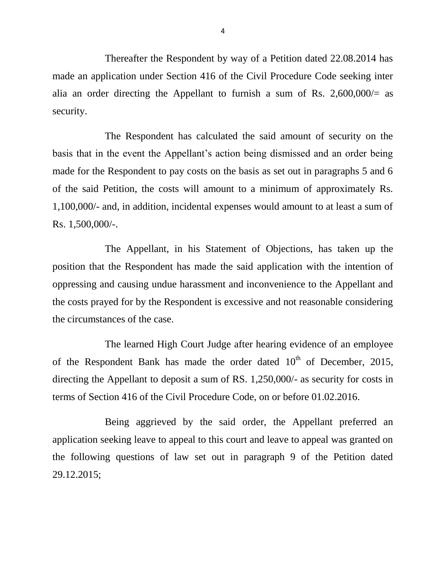Thereafter the Respondent by way of a Petition dated 22.08.2014 has made an application under Section 416 of the Civil Procedure Code seeking inter alia an order directing the Appellant to furnish a sum of Rs.  $2,600,000/=$  as security.

The Respondent has calculated the said amount of security on the basis that in the event the Appellant's action being dismissed and an order being made for the Respondent to pay costs on the basis as set out in paragraphs 5 and 6 of the said Petition, the costs will amount to a minimum of approximately Rs. 1,100,000/- and, in addition, incidental expenses would amount to at least a sum of Rs. 1,500,000/-.

The Appellant, in his Statement of Objections, has taken up the position that the Respondent has made the said application with the intention of oppressing and causing undue harassment and inconvenience to the Appellant and the costs prayed for by the Respondent is excessive and not reasonable considering the circumstances of the case.

The learned High Court Judge after hearing evidence of an employee of the Respondent Bank has made the order dated  $10<sup>th</sup>$  of December, 2015, directing the Appellant to deposit a sum of RS. 1,250,000/- as security for costs in terms of Section 416 of the Civil Procedure Code, on or before 01.02.2016.

Being aggrieved by the said order, the Appellant preferred an application seeking leave to appeal to this court and leave to appeal was granted on the following questions of law set out in paragraph 9 of the Petition dated 29.12.2015;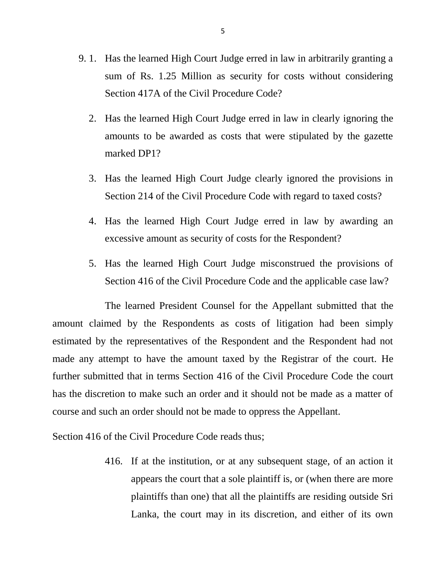- 9. 1. Has the learned High Court Judge erred in law in arbitrarily granting a sum of Rs. 1.25 Million as security for costs without considering Section 417A of the Civil Procedure Code?
	- 2. Has the learned High Court Judge erred in law in clearly ignoring the amounts to be awarded as costs that were stipulated by the gazette marked DP1?
	- 3. Has the learned High Court Judge clearly ignored the provisions in Section 214 of the Civil Procedure Code with regard to taxed costs?
	- 4. Has the learned High Court Judge erred in law by awarding an excessive amount as security of costs for the Respondent?
	- 5. Has the learned High Court Judge misconstrued the provisions of Section 416 of the Civil Procedure Code and the applicable case law?

The learned President Counsel for the Appellant submitted that the amount claimed by the Respondents as costs of litigation had been simply estimated by the representatives of the Respondent and the Respondent had not made any attempt to have the amount taxed by the Registrar of the court. He further submitted that in terms Section 416 of the Civil Procedure Code the court has the discretion to make such an order and it should not be made as a matter of course and such an order should not be made to oppress the Appellant.

Section 416 of the Civil Procedure Code reads thus;

416. If at the institution, or at any subsequent stage, of an action it appears the court that a sole plaintiff is, or (when there are more plaintiffs than one) that all the plaintiffs are residing outside Sri Lanka, the court may in its discretion, and either of its own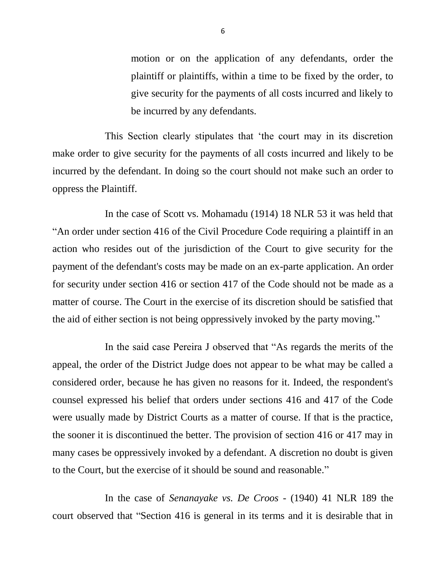motion or on the application of any defendants, order the plaintiff or plaintiffs, within a time to be fixed by the order, to give security for the payments of all costs incurred and likely to be incurred by any defendants.

This Section clearly stipulates that 'the court may in its discretion make order to give security for the payments of all costs incurred and likely to be incurred by the defendant. In doing so the court should not make such an order to oppress the Plaintiff.

In the case of Scott vs. Mohamadu (1914) 18 NLR 53 it was held that "An order under section 416 of the Civil Procedure Code requiring a plaintiff in an action who resides out of the jurisdiction of the Court to give security for the payment of the defendant's costs may be made on an ex-parte application. An order for security under section 416 or section 417 of the Code should not be made as a matter of course. The Court in the exercise of its discretion should be satisfied that the aid of either section is not being oppressively invoked by the party moving."

In the said case Pereira J observed that "As regards the merits of the appeal, the order of the District Judge does not appear to be what may be called a considered order, because he has given no reasons for it. Indeed, the respondent's counsel expressed his belief that orders under sections 416 and 417 of the Code were usually made by District Courts as a matter of course. If that is the practice, the sooner it is discontinued the better. The provision of section 416 or 417 may in many cases be oppressively invoked by a defendant. A discretion no doubt is given to the Court, but the exercise of it should be sound and reasonable."

In the case of *Senanayake vs. De Croos -* (1940) 41 NLR 189 the court observed that "Section 416 is general in its terms and it is desirable that in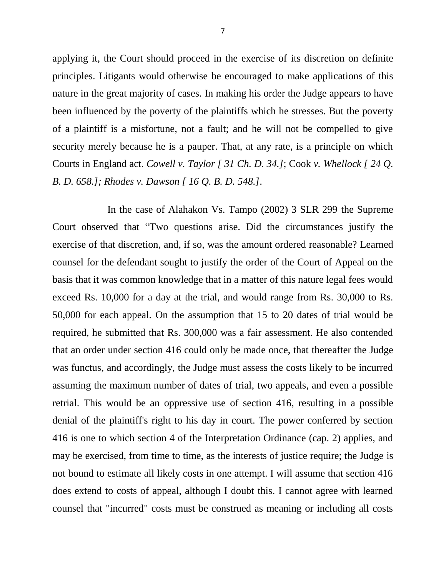applying it, the Court should proceed in the exercise of its discretion on definite principles. Litigants would otherwise be encouraged to make applications of this nature in the great majority of cases. In making his order the Judge appears to have been influenced by the poverty of the plaintiffs which he stresses. But the poverty of a plaintiff is a misfortune, not a fault; and he will not be compelled to give security merely because he is a pauper. That, at any rate, is a principle on which Courts in England act. *Cowell v. Taylor [ 31 Ch. D. 34.]*; Cook *v. Whellock [ 24 Q. B. D. 658.]; Rhodes v. Dawson [ 16 Q. B. D. 548.]*.

In the case of Alahakon Vs. Tampo (2002) 3 SLR 299 the Supreme Court observed that "Two questions arise. Did the circumstances justify the exercise of that discretion, and, if so, was the amount ordered reasonable? Learned counsel for the defendant sought to justify the order of the Court of Appeal on the basis that it was common knowledge that in a matter of this nature legal fees would exceed Rs. 10,000 for a day at the trial, and would range from Rs. 30,000 to Rs. 50,000 for each appeal. On the assumption that 15 to 20 dates of trial would be required, he submitted that Rs. 300,000 was a fair assessment. He also contended that an order under section 416 could only be made once, that thereafter the Judge was functus, and accordingly, the Judge must assess the costs likely to be incurred assuming the maximum number of dates of trial, two appeals, and even a possible retrial. This would be an oppressive use of section 416, resulting in a possible denial of the plaintiff's right to his day in court. The power conferred by section 416 is one to which section 4 of the Interpretation Ordinance (cap. 2) applies, and may be exercised, from time to time, as the interests of justice require; the Judge is not bound to estimate all likely costs in one attempt. I will assume that section 416 does extend to costs of appeal, although I doubt this. I cannot agree with learned counsel that "incurred" costs must be construed as meaning or including all costs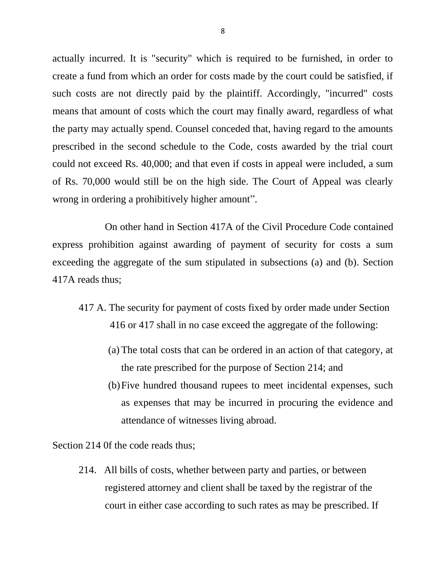actually incurred. It is "security" which is required to be furnished, in order to create a fund from which an order for costs made by the court could be satisfied, if such costs are not directly paid by the plaintiff. Accordingly, "incurred" costs means that amount of costs which the court may finally award, regardless of what the party may actually spend. Counsel conceded that, having regard to the amounts prescribed in the second schedule to the Code, costs awarded by the trial court could not exceed Rs. 40,000; and that even if costs in appeal were included, a sum of Rs. 70,000 would still be on the high side. The Court of Appeal was clearly wrong in ordering a prohibitively higher amount".

On other hand in Section 417A of the Civil Procedure Code contained express prohibition against awarding of payment of security for costs a sum exceeding the aggregate of the sum stipulated in subsections (a) and (b). Section 417A reads thus;

- 417 A. The security for payment of costs fixed by order made under Section 416 or 417 shall in no case exceed the aggregate of the following:
	- (a) The total costs that can be ordered in an action of that category, at the rate prescribed for the purpose of Section 214; and
	- (b)Five hundred thousand rupees to meet incidental expenses, such as expenses that may be incurred in procuring the evidence and attendance of witnesses living abroad.

Section 214 0f the code reads thus:

214. All bills of costs, whether between party and parties, or between registered attorney and client shall be taxed by the registrar of the court in either case according to such rates as may be prescribed. If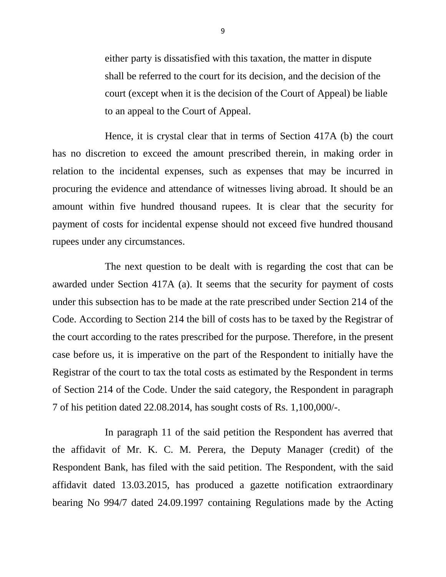either party is dissatisfied with this taxation, the matter in dispute shall be referred to the court for its decision, and the decision of the court (except when it is the decision of the Court of Appeal) be liable to an appeal to the Court of Appeal.

Hence, it is crystal clear that in terms of Section 417A (b) the court has no discretion to exceed the amount prescribed therein, in making order in relation to the incidental expenses, such as expenses that may be incurred in procuring the evidence and attendance of witnesses living abroad. It should be an amount within five hundred thousand rupees. It is clear that the security for payment of costs for incidental expense should not exceed five hundred thousand rupees under any circumstances.

The next question to be dealt with is regarding the cost that can be awarded under Section 417A (a). It seems that the security for payment of costs under this subsection has to be made at the rate prescribed under Section 214 of the Code. According to Section 214 the bill of costs has to be taxed by the Registrar of the court according to the rates prescribed for the purpose. Therefore, in the present case before us, it is imperative on the part of the Respondent to initially have the Registrar of the court to tax the total costs as estimated by the Respondent in terms of Section 214 of the Code. Under the said category, the Respondent in paragraph 7 of his petition dated 22.08.2014, has sought costs of Rs. 1,100,000/-.

In paragraph 11 of the said petition the Respondent has averred that the affidavit of Mr. K. C. M. Perera, the Deputy Manager (credit) of the Respondent Bank, has filed with the said petition. The Respondent, with the said affidavit dated 13.03.2015, has produced a gazette notification extraordinary bearing No 994/7 dated 24.09.1997 containing Regulations made by the Acting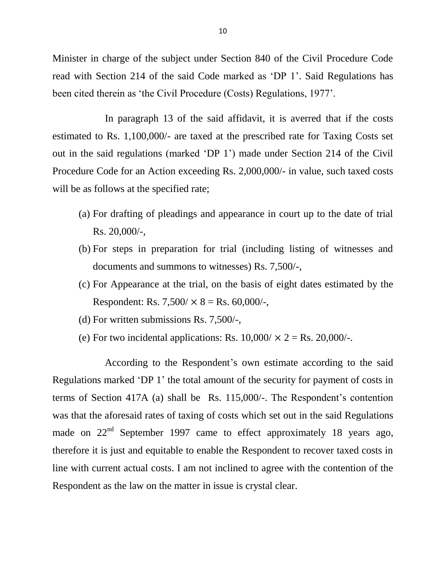Minister in charge of the subject under Section 840 of the Civil Procedure Code read with Section 214 of the said Code marked as 'DP 1'. Said Regulations has been cited therein as 'the Civil Procedure (Costs) Regulations, 1977'.

In paragraph 13 of the said affidavit, it is averred that if the costs estimated to Rs. 1,100,000/- are taxed at the prescribed rate for Taxing Costs set out in the said regulations (marked 'DP 1') made under Section 214 of the Civil Procedure Code for an Action exceeding Rs. 2,000,000/- in value, such taxed costs will be as follows at the specified rate;

- (a) For drafting of pleadings and appearance in court up to the date of trial Rs. 20,000/-,
- (b) For steps in preparation for trial (including listing of witnesses and documents and summons to witnesses) Rs. 7,500/-,
- (c) For Appearance at the trial, on the basis of eight dates estimated by the Respondent: Rs.  $7,500 \times 8 =$  Rs. 60,000/-,
- (d) For written submissions Rs. 7,500/-,
- (e) For two incidental applications: Rs.  $10,000 \times 2 =$  Rs.  $20,000$ /-.

According to the Respondent's own estimate according to the said Regulations marked 'DP 1' the total amount of the security for payment of costs in terms of Section 417A (a) shall be Rs. 115,000/-. The Respondent's contention was that the aforesaid rates of taxing of costs which set out in the said Regulations made on 22<sup>nd</sup> September 1997 came to effect approximately 18 years ago, therefore it is just and equitable to enable the Respondent to recover taxed costs in line with current actual costs. I am not inclined to agree with the contention of the Respondent as the law on the matter in issue is crystal clear.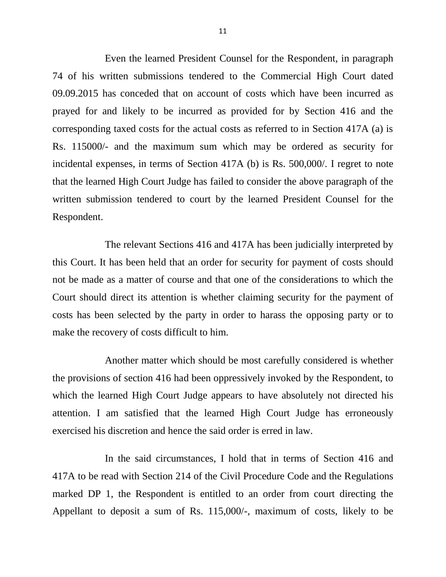Even the learned President Counsel for the Respondent, in paragraph 74 of his written submissions tendered to the Commercial High Court dated 09.09.2015 has conceded that on account of costs which have been incurred as prayed for and likely to be incurred as provided for by Section 416 and the corresponding taxed costs for the actual costs as referred to in Section 417A (a) is Rs. 115000/- and the maximum sum which may be ordered as security for incidental expenses, in terms of Section 417A (b) is Rs. 500,000/. I regret to note that the learned High Court Judge has failed to consider the above paragraph of the written submission tendered to court by the learned President Counsel for the Respondent.

The relevant Sections 416 and 417A has been judicially interpreted by this Court. It has been held that an order for security for payment of costs should not be made as a matter of course and that one of the considerations to which the Court should direct its attention is whether claiming security for the payment of costs has been selected by the party in order to harass the opposing party or to make the recovery of costs difficult to him.

Another matter which should be most carefully considered is whether the provisions of section 416 had been oppressively invoked by the Respondent, to which the learned High Court Judge appears to have absolutely not directed his attention. I am satisfied that the learned High Court Judge has erroneously exercised his discretion and hence the said order is erred in law.

In the said circumstances, I hold that in terms of Section 416 and 417A to be read with Section 214 of the Civil Procedure Code and the Regulations marked DP 1, the Respondent is entitled to an order from court directing the Appellant to deposit a sum of Rs. 115,000/-, maximum of costs, likely to be